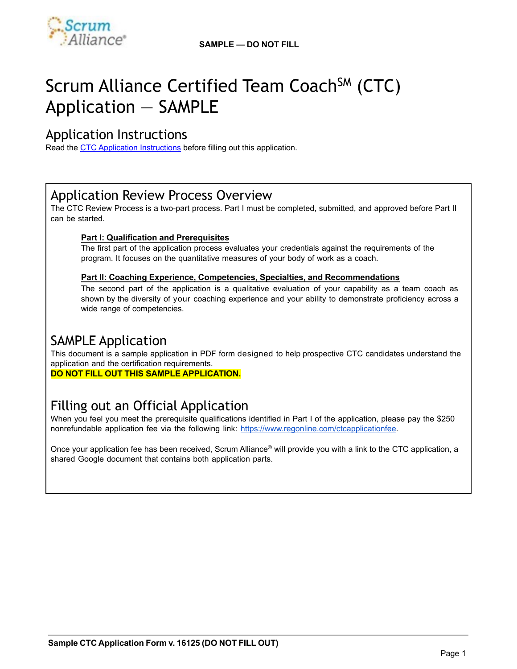

# Scrum Alliance Certified Team Coach<sup>SM</sup> (CTC) Application — SAMPLE

## Application Instructions

Read the [CTC Application Instructions](https://www.scrumalliance.org/scrum/media/ScrumAllianceMedia/Files%2520and%2520PDFs/Certifications/CTC/Scrum_Alliance_Certified_Team_Coach-_Application_Instructions.pdf) before filling out this application.

## Application Review Process Overview

The CTC Review Process is a two-part process. Part I must be completed, submitted, and approved before Part II can be started.

#### **Part I: Qualification and Prerequisites**

The first part of the application process evaluates your credentials against the requirements of the program. It focuses on the quantitative measures of your body of work as a coach.

#### **Part II: Coaching Experience, Competencies, Specialties, and Recommendations**

The second part of the application is a qualitative evaluation of your capability as a team coach as shown by the diversity of your coaching experience and your ability to demonstrate proficiency across a wide range of competencies.

## SAMPLE Application

This document is a sample application in PDF form designed to help prospective CTC candidates understand the application and the certification requirements.

**DO NOT FILL OUT THIS SAMPLE APPLICATION.**

## Filling out an Official Application

When you feel you meet the prerequisite qualifications identified in Part I of the application, please pay the \$250 nonrefundable application fee via the following link: <https://www.regonline.com/ctcapplicationfee>.

Once your application fee has been received, Scrum Alliance® will provide you with a link to the CTC application, a shared Google document that contains both application parts.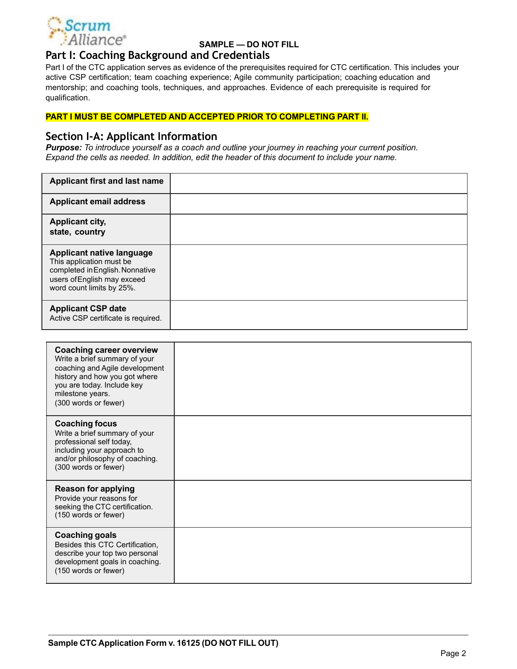

## **Part I: Coaching Background and Credentials**

Part I of the CTC application serves as evidence of the prerequisites required for CTC certification. This includes your active CSP certification; team coaching experience; Agile community participation; coaching education and mentorship; and coaching tools, techniques, and approaches. Evidence of each prerequisite is required for qualification.

#### **PART I MUST BE COMPLETED AND ACCEPTED PRIOR TO COMPLETING PART II.**

#### **Section I-A: Applicant Information**

*Purpose: To introduce yourself as a coach and outline your journey in reaching your current position. Expand the cells as needed. In addition, edit the header of this document to include your name.*

| <b>Applicant first and last name</b>                                                                                                                        |  |
|-------------------------------------------------------------------------------------------------------------------------------------------------------------|--|
| <b>Applicant email address</b>                                                                                                                              |  |
| <b>Applicant city,</b><br>state, country                                                                                                                    |  |
| <b>Applicant native language</b><br>This application must be<br>completed in English. Nonnative<br>users of English may exceed<br>word count limits by 25%. |  |
| <b>Applicant CSP date</b><br>Active CSP certificate is required.                                                                                            |  |

| <b>Coaching career overview</b><br>Write a brief summary of your<br>coaching and Agile development<br>history and how you got where<br>you are today. Include key<br>milestone years.<br>(300 words or fewer) |  |
|---------------------------------------------------------------------------------------------------------------------------------------------------------------------------------------------------------------|--|
| <b>Coaching focus</b><br>Write a brief summary of your<br>professional self today,<br>including your approach to<br>and/or philosophy of coaching.<br>(300 words or fewer)                                    |  |
| <b>Reason for applying</b><br>Provide your reasons for<br>seeking the CTC certification.<br>(150 words or fewer)                                                                                              |  |
| <b>Coaching goals</b><br>Besides this CTC Certification,<br>describe your top two personal<br>development goals in coaching.<br>(150 words or fewer)                                                          |  |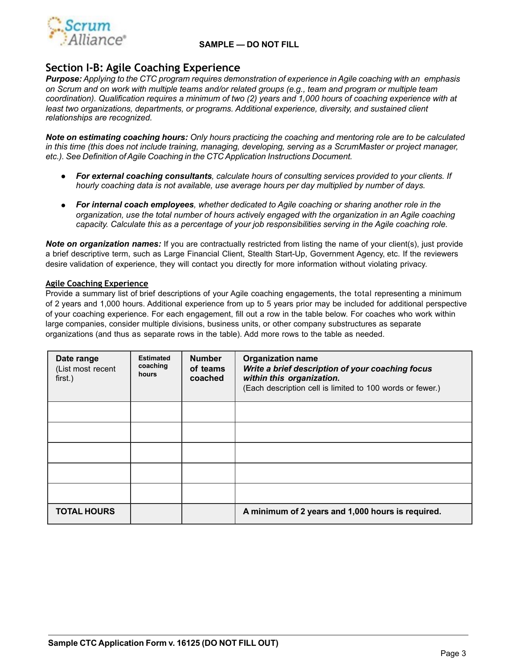

## **Section I-B: Agile Coaching Experience**

*Purpose: Applying to the CTC program requires demonstration of experience in Agile coaching with an emphasis on Scrum and on work with multiple teams and/or related groups (e.g., team and program or multiple team coordination). Qualification requires a minimum of two (2) years and 1,000 hours of coaching experience with at least two organizations, departments, or programs. Additional experience, diversity, and sustained client relationships are recognized.*

Note on estimating coaching hours: Only hours practicing the coaching and mentoring role are to be calculated *in this time (this does not include training, managing, developing, serving as a ScrumMaster or project manager, etc.). See Definition ofAgile Coaching in the CTC Application Instructions Document.*

- *● For external coaching consultants, calculate hours of consulting services provided to your clients. If hourly coaching data is not available, use average hours per day multiplied by number of days.*
- *● For internal coach employees, whether dedicated to Agile coaching or sharing another role in the organization, use the total number of hours actively engaged with the organization in an Agile coaching capacity. Calculate this as a percentage of your job responsibilities serving in the Agile coaching role.*

*Note on organization names:* If you are contractually restricted from listing the name of your client(s), just provide a brief descriptive term, such as Large Financial Client, Stealth Start-Up, Government Agency, etc. If the reviewers desire validation of experience, they will contact you directly for more information without violating privacy.

#### **Agile Coaching Experience**

Provide a summary list of brief descriptions of your Agile coaching engagements, the total representing a minimum of 2 years and 1,000 hours. Additional experience from up to 5 years prior may be included for additional perspective of your coaching experience. For each engagement, fill out a row in the table below. For coaches who work within large companies, consider multiple divisions, business units, or other company substructures as separate organizations (and thus as separate rows in the table). Add more rows to the table as needed.

| Date range<br>(List most recent<br>first.) | <b>Estimated</b><br>coaching<br>hours | <b>Number</b><br>of teams<br>coached | <b>Organization name</b><br>Write a brief description of your coaching focus<br>within this organization.<br>(Each description cell is limited to 100 words or fewer.) |
|--------------------------------------------|---------------------------------------|--------------------------------------|------------------------------------------------------------------------------------------------------------------------------------------------------------------------|
|                                            |                                       |                                      |                                                                                                                                                                        |
|                                            |                                       |                                      |                                                                                                                                                                        |
|                                            |                                       |                                      |                                                                                                                                                                        |
|                                            |                                       |                                      |                                                                                                                                                                        |
|                                            |                                       |                                      |                                                                                                                                                                        |
| <b>TOTAL HOURS</b>                         |                                       |                                      | A minimum of 2 years and 1,000 hours is required.                                                                                                                      |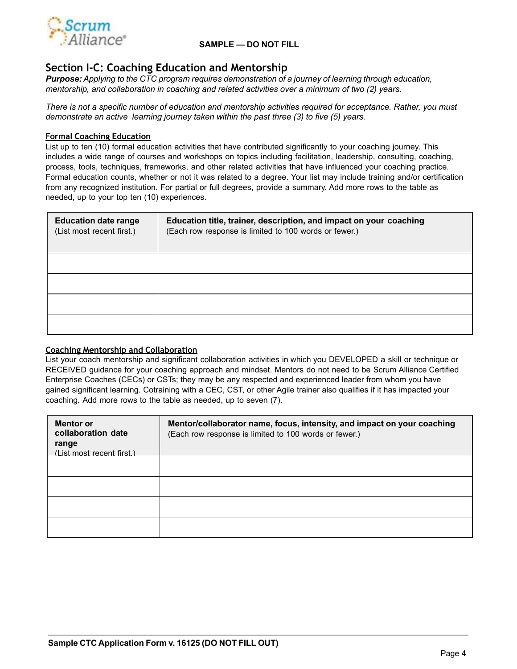

## **Section I-C: Coaching Education and Mentorship**

*Purpose: Applying to the CTC program requires demonstration of a journey of learning through education, mentorship, and collaboration in coaching and related activities over a minimum of two (2) years.*

*There is not a specific number of education and mentorship activities required for acceptance. Rather, you must demonstrate an active learning journey taken within the past three (3) to five (5) years.*

#### **Formal Coaching Education**

List up to ten (10) formal education activities that have contributed significantly to your coaching journey. This includes a wide range of courses and workshops on topics including facilitation, leadership, consulting, coaching, process, tools, techniques, frameworks, and other related activities that have influenced your coaching practice. Formal education counts, whether or not it was related to a degree. Your list may include training and/or certification from any recognized institution. For partial or full degrees, provide a summary. Add more rows to the table as needed, up to your top ten (10) experiences.

| <b>Education date range</b><br>(List most recent first.) | Education title, trainer, description, and impact on your coaching<br>(Each row response is limited to 100 words or fewer.) |
|----------------------------------------------------------|-----------------------------------------------------------------------------------------------------------------------------|
|                                                          |                                                                                                                             |
|                                                          |                                                                                                                             |
|                                                          |                                                                                                                             |
|                                                          |                                                                                                                             |

#### **Coaching Mentorship and Collaboration**

List your coach mentorship and significant collaboration activities in which you DEVELOPED a skill or technique or RECEIVED guidance for your coaching approach and mindset. Mentors do not need to be Scrum Alliance Certified Enterprise Coaches (CECs) or CSTs; they may be any respected and experienced leader from whom you have gained significant learning. Cotraining with a CEC, CST, or other Agile trainer also qualifies if it has impacted your coaching*.* Add more rows to the table as needed, up to seven (7).

| <b>Mentor or</b><br>collaboration date<br>range<br>(List most recent first.) | Mentor/collaborator name, focus, intensity, and impact on your coaching<br>(Each row response is limited to 100 words or fewer.) |
|------------------------------------------------------------------------------|----------------------------------------------------------------------------------------------------------------------------------|
|                                                                              |                                                                                                                                  |
|                                                                              |                                                                                                                                  |
|                                                                              |                                                                                                                                  |
|                                                                              |                                                                                                                                  |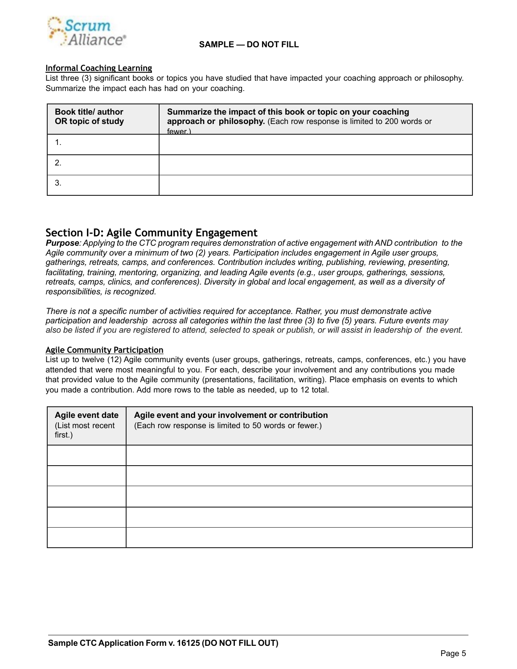

#### **Informal Coaching Learning**

List three (3) significant books or topics you have studied that have impacted your coaching approach or philosophy. Summarize the impact each has had on your coaching.

| <b>Book title/ author</b><br>OR topic of study | Summarize the impact of this book or topic on your coaching<br>approach or philosophy. (Each row response is limited to 200 words or<br>fewer.) |
|------------------------------------------------|-------------------------------------------------------------------------------------------------------------------------------------------------|
|                                                |                                                                                                                                                 |
|                                                |                                                                                                                                                 |
|                                                |                                                                                                                                                 |

## **Section I-D: Agile Community Engagement**

**Purpose:** Applying to the CTC program requires demonstration of active engagement with AND contribution to the *Agile community over a minimum of two (2) years. Participation includes engagement in Agile user groups, gatherings, retreats, camps, and conferences. Contribution includes writing, publishing, reviewing, presenting, facilitating, training, mentoring, organizing, and leading Agile events (e.g., user groups, gatherings, sessions, retreats, camps, clinics, and conferences). Diversity in global and local engagement, as well as a diversity of responsibilities, is recognized.*

*There is not a specific number of activities required for acceptance. Rather, you must demonstrate active participation and leadership across all categories within the last three (3) to five (5) years. Future events may also be listed if you are registered to attend, selected to speak or publish, or will assist in leadership of the event.*

#### **Agile Community Participation**

List up to twelve (12) Agile community events (user groups, gatherings, retreats, camps, conferences, etc.) you have attended that were most meaningful to you. For each, describe your involvement and any contributions you made that provided value to the Agile community (presentations, facilitation, writing). Place emphasis on events to which you made a contribution. Add more rows to the table as needed, up to 12 total.

| Agile event date<br>(List most recent<br>first.) | Agile event and your involvement or contribution<br>(Each row response is limited to 50 words or fewer.) |  |  |
|--------------------------------------------------|----------------------------------------------------------------------------------------------------------|--|--|
|                                                  |                                                                                                          |  |  |
|                                                  |                                                                                                          |  |  |
|                                                  |                                                                                                          |  |  |
|                                                  |                                                                                                          |  |  |
|                                                  |                                                                                                          |  |  |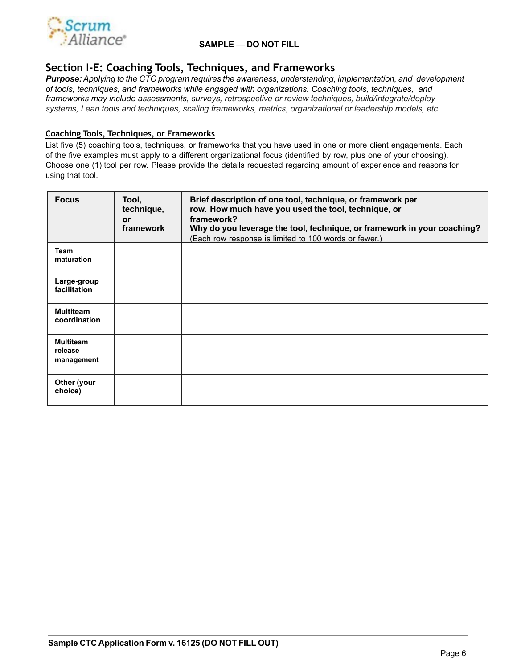

### **Section I-E: Coaching Tools, Techniques, and Frameworks**

*Purpose:Applying to the CTC program requires the awareness, understanding, implementation, and development of tools, techniques, and frameworks while engaged with organizations. Coaching tools, techniques, and frameworks may include assessments, surveys, retrospective or review techniques, build/integrate/deploy systems, Lean tools and techniques, scaling frameworks, metrics, organizational or leadership models, etc.*

#### **Coaching Tools, Techniques, or Frameworks**

List five (5) coaching tools, techniques, or frameworks that you have used in one or more client engagements. Each of the five examples must apply to a different organizational focus (identified by row, plus one of your choosing). Choose one (1) tool per row. Please provide the details requested regarding amount of experience and reasons for using that tool.

| <b>Focus</b>                              | Tool,<br>technique,<br><b>or</b><br>framework | Brief description of one tool, technique, or framework per<br>row. How much have you used the tool, technique, or<br>framework?<br>Why do you leverage the tool, technique, or framework in your coaching?<br>(Each row response is limited to 100 words or fewer.) |
|-------------------------------------------|-----------------------------------------------|---------------------------------------------------------------------------------------------------------------------------------------------------------------------------------------------------------------------------------------------------------------------|
| <b>Team</b><br>maturation                 |                                               |                                                                                                                                                                                                                                                                     |
| Large-group<br>facilitation               |                                               |                                                                                                                                                                                                                                                                     |
| <b>Multiteam</b><br>coordination          |                                               |                                                                                                                                                                                                                                                                     |
| <b>Multiteam</b><br>release<br>management |                                               |                                                                                                                                                                                                                                                                     |
| Other (your<br>choice)                    |                                               |                                                                                                                                                                                                                                                                     |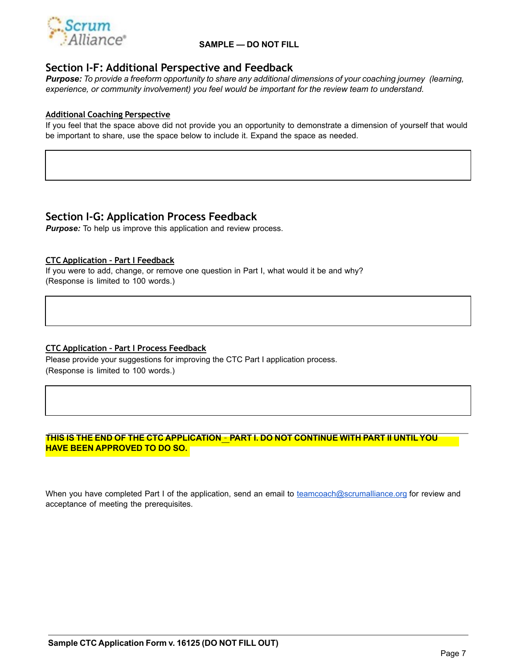

## **Section I-F: Additional Perspective and Feedback**

Purpose: To provide a freeform opportunity to share any additional dimensions of your coaching journey (learning, *experience, or community involvement) you feel would be important for the review team to understand.*

#### **Additional Coaching Perspective**

If you feel that the space above did not provide you an opportunity to demonstrate a dimension of yourself that would be important to share, use the space below to include it. Expand the space as needed.

## **Section I-G: Application Process Feedback**

*Purpose:* To help us improve this application and review process.

#### **CTC Application – Part I Feedback**

If you were to add, change, or remove one question in Part I, what would it be and why? (Response is limited to 100 words.)

#### **CTC Application – Part I Process Feedback**

Please provide your suggestions for improving the CTC Part I application process. (Response is limited to 100 words.)

#### **THIS IS THE END OF THE CTC APPLICATION** – **PART I. DO NOT CONTINUE WITH PART II UNTIL YOU HAVE BEEN APPROVED TO DO SO.**

When you have completed Part I of the application, send an email to teamcoach@scrumalliance.org for review and acceptance of meeting the prerequisites.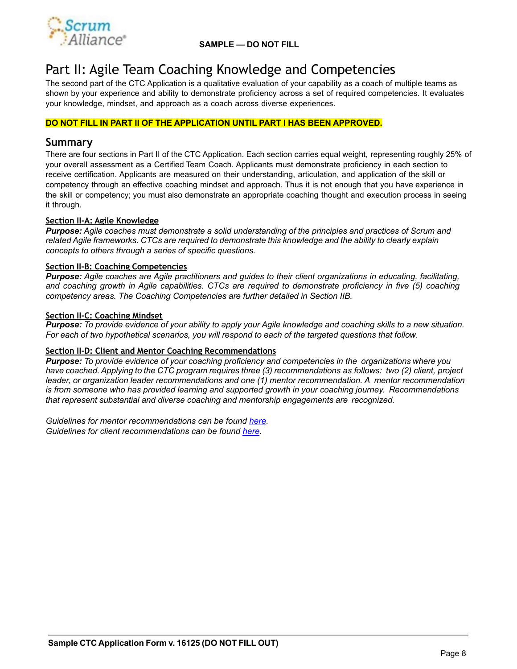

## Part II: Agile Team Coaching Knowledge and Competencies

The second part of the CTC Application is a qualitative evaluation of your capability as a coach of multiple teams as shown by your experience and ability to demonstrate proficiency across a set of required competencies. It evaluates your knowledge, mindset, and approach as a coach across diverse experiences.

#### **DO NOT FILL IN PART II OF THE APPLICATION UNTIL PART I HAS BEEN APPROVED.**

### **Summary**

There are four sections in Part II of the CTC Application. Each section carries equal weight, representing roughly 25% of your overall assessment as a Certified Team Coach. Applicants must demonstrate proficiency in each section to receive certification. Applicants are measured on their understanding, articulation, and application of the skill or competency through an effective coaching mindset and approach. Thus it is not enough that you have experience in the skill or competency; you must also demonstrate an appropriate coaching thought and execution process in seeing it through.

#### **Section II-A: Agile Knowledge**

*Purpose: Agile coaches must demonstrate a solid understanding of the principles and practices of Scrum and related Agile frameworks. CTCs are required to demonstrate this knowledge and the ability to clearly explain concepts to others through a series of specific questions.*

#### **Section II-B: Coaching Competencies**

*Purpose: Agile coaches are Agile practitioners and guides to their client organizations in educating, facilitating, and coaching growth in Agile capabilities. CTCs are required to demonstrate proficiency in five (5) coaching competency areas. The Coaching Competencies are further detailed in Section IIB.*

#### **Section II-C: Coaching Mindset**

*Purpose: To provide evidence of your ability to apply your Agile knowledge and coaching skills to a new situation. For each of two hypothetical scenarios, you will respond to each of the targeted questions that follow.*

#### **Section II-D: Client and Mentor Coaching Recommendations**

*Purpose: To provide evidence of your coaching proficiency and competencies in the organizations where you have coached. Applying to the CTC program requires three (3) recommendations as follows: two (2) client, project leader, or organization leader recommendations and one (1) mentor recommendation. A mentor recommendation is from someone who has provided learning and supported growth in your coaching journey. Recommendations that represent substantial and diverse coaching and mentorship engagements are recognized.* 

*Guidelines for mentor recommendations can be found [here](https://scrumalliance.org/scrum/media/ScrumAllianceMedia/Files%2520and%2520PDFs/Certifications/CTC/CTC_Mentor_Rec_Guidelines.pdf). Guidelines for client recommendations can be found [here](https://scrumalliance.org/scrum/media/ScrumAllianceMedia/Files%2520and%2520PDFs/Certifications/CTC/CTC_Client_Rec_Guidelines.pdf).*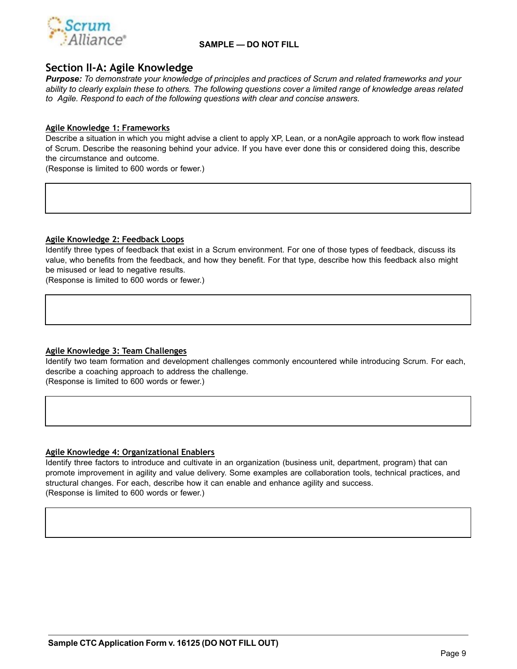

## **Section II-A: Agile Knowledge**

*Purpose: To demonstrate your knowledge of principles and practices of Scrum and related frameworks and your ability to clearly explain these to others. The following questions cover a limited range of knowledge areas related to Agile. Respond to each of the following questions with clear and concise answers.*

#### **Agile Knowledge 1: Frameworks**

Describe a situation in which you might advise a client to apply XP, Lean, or a nonAgile approach to work flow instead of Scrum. Describe the reasoning behind your advice. If you have ever done this or considered doing this, describe the circumstance and outcome.

(Response is limited to 600 words or fewer.)

#### **Agile Knowledge 2: Feedback Loops**

Identify three types of feedback that exist in a Scrum environment. For one of those types of feedback, discuss its value, who benefits from the feedback, and how they benefit. For that type, describe how this feedback also might be misused or lead to negative results.

(Response is limited to 600 words or fewer.)

#### **Agile Knowledge 3: Team Challenges**

Identify two team formation and development challenges commonly encountered while introducing Scrum. For each, describe a coaching approach to address the challenge. (Response is limited to 600 words or fewer.)

#### **Agile Knowledge 4: Organizational Enablers**

Identify three factors to introduce and cultivate in an organization (business unit, department, program) that can promote improvement in agility and value delivery. Some examples are collaboration tools, technical practices, and structural changes. For each, describe how it can enable and enhance agility and success. (Response is limited to 600 words or fewer.)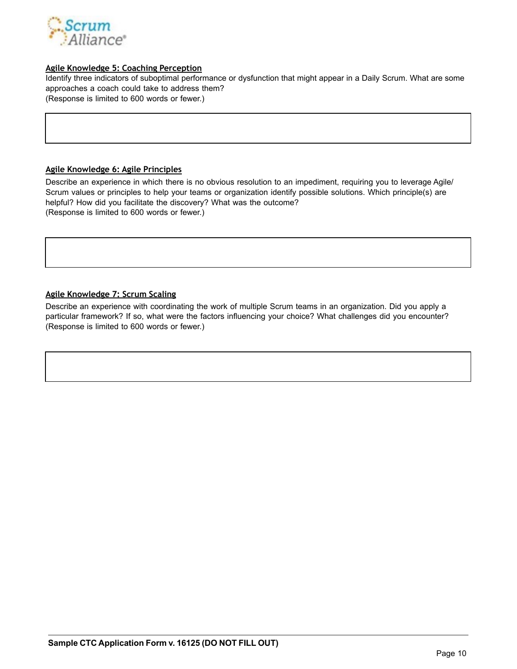

#### **Agile Knowledge 5: Coaching Perception**

Identify three indicators of suboptimal performance or dysfunction that might appear in a Daily Scrum. What are some approaches a coach could take to address them? (Response is limited to 600 words or fewer.)

#### **Agile Knowledge 6: Agile Principles**

Describe an experience in which there is no obvious resolution to an impediment, requiring you to leverage Agile/ Scrum values or principles to help your teams or organization identify possible solutions. Which principle(s) are helpful? How did you facilitate the discovery? What was the outcome? (Response is limited to 600 words or fewer.)

#### **Agile Knowledge 7: Scrum Scaling**

Describe an experience with coordinating the work of multiple Scrum teams in an organization. Did you apply a particular framework? If so, what were the factors influencing your choice? What challenges did you encounter? (Response is limited to 600 words or fewer.)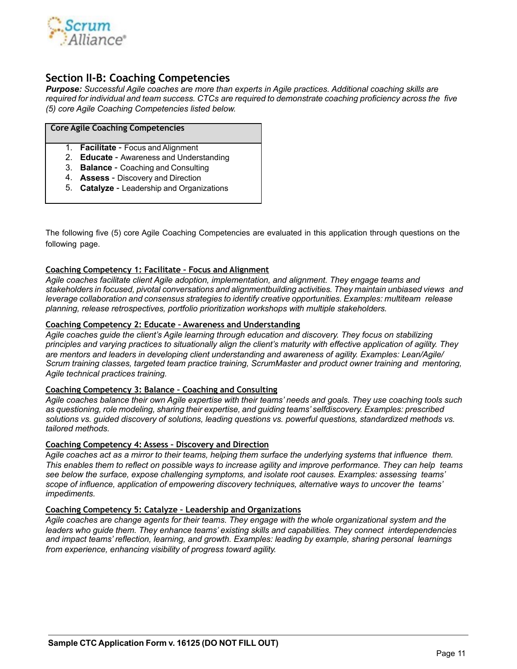

## **Section II-B: Coaching Competencies**

*Purpose: Successful Agile coaches are more than experts in Agile practices. Additional coaching skills are required for individual and team success. CTCs are required to demonstrate coaching proficiency across the five (5) core Agile Coaching Competencies listed below.*

|    | Core Agile Coaching Competencies             |
|----|----------------------------------------------|
|    | 1. <b>Facilitate</b> - Focus and Alignment   |
| 2  | <b>Educate - Awareness and Understanding</b> |
| 3. | <b>Balance - Coaching and Consulting</b>     |
| 4. | <b>Assess - Discovery and Direction</b>      |
| 5. | Catalyze - Leadership and Organizations      |

The following five (5) core Agile Coaching Competencies are evaluated in this application through questions on the following page.

#### **Coaching Competency 1: Facilitate – Focus and Alignment**

*Agile coaches facilitate client Agile adoption, implementation, and alignment. They engage teams and stakeholders in focused, pivotal conversations and alignmentbuilding activities. They maintain unbiased views and leverage collaboration and consensus strategies to identify creative opportunities. Examples: multiteam release planning, release retrospectives, portfolio prioritization workshops with multiple stakeholders.*

#### **Coaching Competency 2: Educate – Awareness and Understanding**

*Agile coaches guide the client's Agile learning through education and discovery. They focus on stabilizing principles and varying practices to situationally align the client's maturity with effective application of agility. They are mentors and leaders in developing client understanding and awareness of agility. Examples: Lean/Agile/ Scrum training classes, targeted team practice training, ScrumMaster and product owner training and mentoring, Agile technical practices training.*

#### **Coaching Competency 3: Balance – Coaching and Consulting**

*Agile coaches balance their own Agile expertise with their teams' needs and goals. They use coaching tools such as questioning, role modeling, sharing their expertise, and guiding teams' selfdiscovery. Examples: prescribed solutions vs. guided discovery of solutions, leading questions vs. powerful questions, standardized methods vs. tailored methods.*

#### **Coaching Competency 4: Assess – Discovery and Direction**

A*gile coaches act as a mirror to their teams, helping them surface the underlying systems that influence them. This enables them to reflect on possible ways to increase agility and improve performance. They can help teams see below the surface, expose challenging symptoms, and isolate root causes. Examples: assessing teams' scope of influence, application of empowering discovery techniques, alternative ways to uncover the teams' impediments.*

#### **Coaching Competency 5: Catalyze – Leadership and Organizations**

*Agile coaches are change agents for their teams. They engage with the whole organizational system and the leaders who guide them. They enhance teams' existing skills and capabilities. They connect interdependencies and impact teams' reflection, learning, and growth. Examples: leading by example, sharing personal learnings from experience, enhancing visibility of progress toward agility.*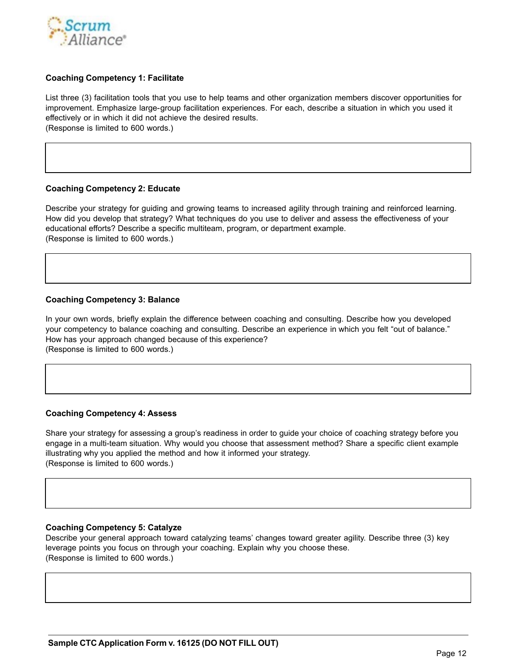

#### **Coaching Competency 1: Facilitate**

List three (3) facilitation tools that you use to help teams and other organization members discover opportunities for improvement. Emphasize large-group facilitation experiences. For each, describe a situation in which you used it effectively or in which it did not achieve the desired results.

(Response is limited to 600 words.)

#### **Coaching Competency 2: Educate**

Describe your strategy for guiding and growing teams to increased agility through training and reinforced learning. How did you develop that strategy? What techniques do you use to deliver and assess the effectiveness of your educational efforts? Describe a specific multiteam, program, or department example. (Response is limited to 600 words.)

#### **Coaching Competency 3: Balance**

In your own words, briefly explain the difference between coaching and consulting. Describe how you developed your competency to balance coaching and consulting. Describe an experience in which you felt "out of balance." How has your approach changed because of this experience? (Response is limited to 600 words.)

#### **Coaching Competency 4: Assess**

Share your strategy for assessing a group's readiness in order to guide your choice of coaching strategy before you engage in a multi-team situation. Why would you choose that assessment method? Share a specific client example illustrating why you applied the method and how it informed your strategy. (Response is limited to 600 words.)

#### **Coaching Competency 5: Catalyze**

Describe your general approach toward catalyzing teams' changes toward greater agility. Describe three (3) key leverage points you focus on through your coaching. Explain why you choose these. (Response is limited to 600 words.)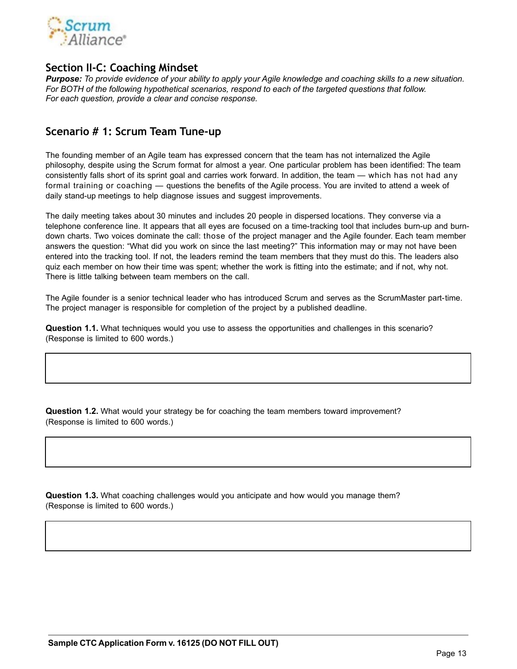

## **Section II-C: Coaching Mindset**

*Purpose: To provide evidence of your ability to apply your Agile knowledge and coaching skills to a new situation. For BOTH of the following hypothetical scenarios, respond to each of the targeted questions that follow. For each question, provide a clear and concise response.*

## **Scenario # 1: Scrum Team Tune-up**

The founding member of an Agile team has expressed concern that the team has not internalized the Agile philosophy, despite using the Scrum format for almost a year. One particular problem has been identified: The team consistently falls short of its sprint goal and carries work forward. In addition, the team — which has not had any formal training or coaching — questions the benefits of the Agile process. You are invited to attend a week of daily stand-up meetings to help diagnose issues and suggest improvements.

The daily meeting takes about 30 minutes and includes 20 people in dispersed locations. They converse via a telephone conference line. It appears that all eyes are focused on a time-tracking tool that includes burn-up and burndown charts. Two voices dominate the call: those of the project manager and the Agile founder. Each team member answers the question: "What did you work on since the last meeting?" This information may or may not have been entered into the tracking tool. If not, the leaders remind the team members that they must do this. The leaders also quiz each member on how their time was spent; whether the work is fitting into the estimate; and if not, why not. There is little talking between team members on the call.

The Agile founder is a senior technical leader who has introduced Scrum and serves as the ScrumMaster part-time. The project manager is responsible for completion of the project by a published deadline.

**Question 1.1.** What techniques would you use to assess the opportunities and challenges in this scenario? (Response is limited to 600 words.)

**Question 1.2.** What would your strategy be for coaching the team members toward improvement? (Response is limited to 600 words.)

**Question 1.3.** What coaching challenges would you anticipate and how would you manage them? (Response is limited to 600 words.)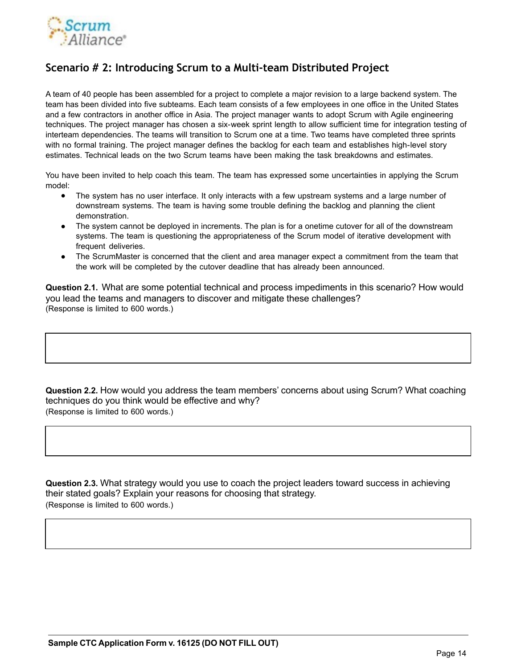

## **Scenario # 2: Introducing Scrum to a Multi-team Distributed Project**

A team of 40 people has been assembled for a project to complete a major revision to a large backend system. The team has been divided into five subteams. Each team consists of a few employees in one office in the United States and a few contractors in another office in Asia. The project manager wants to adopt Scrum with Agile engineering techniques. The project manager has chosen a six-week sprint length to allow sufficient time for integration testing of interteam dependencies. The teams will transition to Scrum one at a time. Two teams have completed three sprints with no formal training. The project manager defines the backlog for each team and establishes high-level story estimates. Technical leads on the two Scrum teams have been making the task breakdowns and estimates.

You have been invited to help coach this team. The team has expressed some uncertainties in applying the Scrum model:

- The system has no user interface. It only interacts with a few upstream systems and a large number of downstream systems. The team is having some trouble defining the backlog and planning the client demonstration.
- The system cannot be deployed in increments. The plan is for a onetime cutover for all of the downstream systems. The team is questioning the appropriateness of the Scrum model of iterative development with frequent deliveries.
- The ScrumMaster is concerned that the client and area manager expect a commitment from the team that the work will be completed by the cutover deadline that has already been announced.

**Question 2.1.** What are some potential technical and process impediments in this scenario? How would you lead the teams and managers to discover and mitigate these challenges? (Response is limited to 600 words.)

**Question 2.2.** How would you address the team members' concerns about using Scrum? What coaching techniques do you think would be effective and why? (Response is limited to 600 words.)

**Question 2.3.** What strategy would you use to coach the project leaders toward success in achieving their stated goals? Explain your reasons for choosing that strategy. (Response is limited to 600 words.)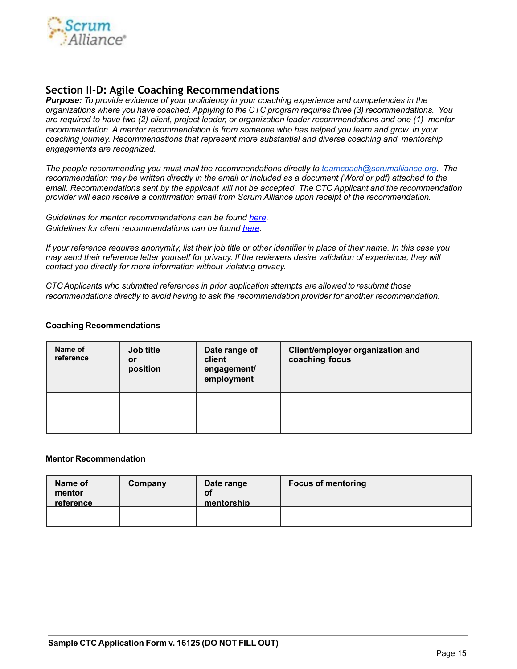

## **Section II-D: Agile Coaching Recommendations**

*Purpose: To provide evidence of your proficiency in your coaching experience and competencies in the organizations where you have coached. Applying to the CTC program requires three (3) recommendations. You are required to have two (2) client, project leader, or organization leader recommendations and one (1) mentor recommendation. A mentor recommendation is from someone who has helped you learn and grow in your coaching journey. Recommendations that represent more substantial and diverse coaching and mentorship engagements are recognized.*

*The people recommending you must mail the recommendations directly to teamcoach@scrumalliance.org. The recommendation may be written directly in the email or included as a document (Word or pdf) attached to the email. Recommendations sent by the applicant will not be accepted. The CTC Applicant and the recommendation provider will each receive a confirmation email from Scrum Alliance upon receipt of the recommendation.* 

*Guidelines for mentor recommendations can be found [here](https://scrumalliance.org/scrum/media/ScrumAllianceMedia/Files%2520and%2520PDFs/Certifications/CTC/CTC_Mentor_Rec_Guidelines.pdf). Guidelines for client recommendations can be found [here](https://scrumalliance.org/scrum/media/ScrumAllianceMedia/Files%2520and%2520PDFs/Certifications/CTC/CTC_Client_Rec_Guidelines.pdf).*

*If your reference requires anonymity, list their job title or other identifier in place of their name. In this case you may send their reference letter yourself for privacy. If the reviewers desire validation of experience, they will contact you directly for more information without violating privacy.*

*CTCApplicants who submitted references in prior application attempts are allowed to resubmit those recommendations directly to avoid having to ask the recommendation provider for another recommendation.*

#### **Coaching Recommendations**

| Name of<br>reference | Job title<br>or<br>position | Date range of<br>client<br>engagement/<br>employment | Client/employer organization and<br>coaching focus |
|----------------------|-----------------------------|------------------------------------------------------|----------------------------------------------------|
|                      |                             |                                                      |                                                    |
|                      |                             |                                                      |                                                    |

#### **Mentor Recommendation**

| Name of<br>mentor<br>reference | Company | Date range<br>οf<br>mentorship | <b>Focus of mentoring</b> |
|--------------------------------|---------|--------------------------------|---------------------------|
|                                |         |                                |                           |